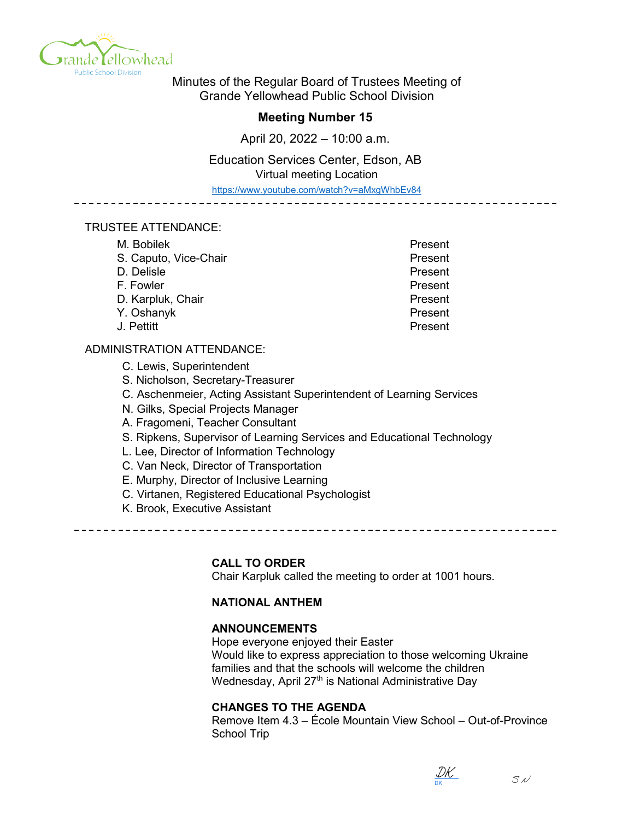

Minutes of the Regular Board of Trustees Meeting of Grande Yellowhead Public School Division

# **Meeting Number 15**

April 20, 2022 – 10:00 a.m.

Education Services Center, Edson, AB Virtual meeting Location

https://www.youtube.com/watch?v=aMxgWhbEv84

#### TRUSTEE ATTENDANCE:

| M. Bobilek            | Present |
|-----------------------|---------|
| S. Caputo, Vice-Chair | Present |
| D. Delisle            | Present |
| F. Fowler             | Present |
| D. Karpluk, Chair     | Present |
| Y. Oshanyk            | Present |
| J. Pettitt            | Present |

## ADMINISTRATION ATTENDANCE:

- C. Lewis, Superintendent
- S. Nicholson, Secretary-Treasurer
- C. Aschenmeier, Acting Assistant Superintendent of Learning Services
- N. Gilks, Special Projects Manager
- A. Fragomeni, Teacher Consultant
- S. Ripkens, Supervisor of Learning Services and Educational Technology
- L. Lee, Director of Information Technology
- C. Van Neck, Director of Transportation
- E. Murphy, Director of Inclusive Learning
- C. Virtanen, Registered Educational Psychologist
- K. Brook, Executive Assistant

## **CALL TO ORDER**

Chair Karpluk called the meeting to order at 1001 hours.

# **NATIONAL ANTHEM**

## **ANNOUNCEMENTS**

Hope everyone enjoyed their Easter Would like to express appreciation to those welcoming Ukraine families and that the schools will welcome the children Wednesday, April 27<sup>th</sup> is National Administrative Day

## **CHANGES TO THE AGENDA**

Remove Item 4.3 – École Mountain View School – Out-of-Province School Trip

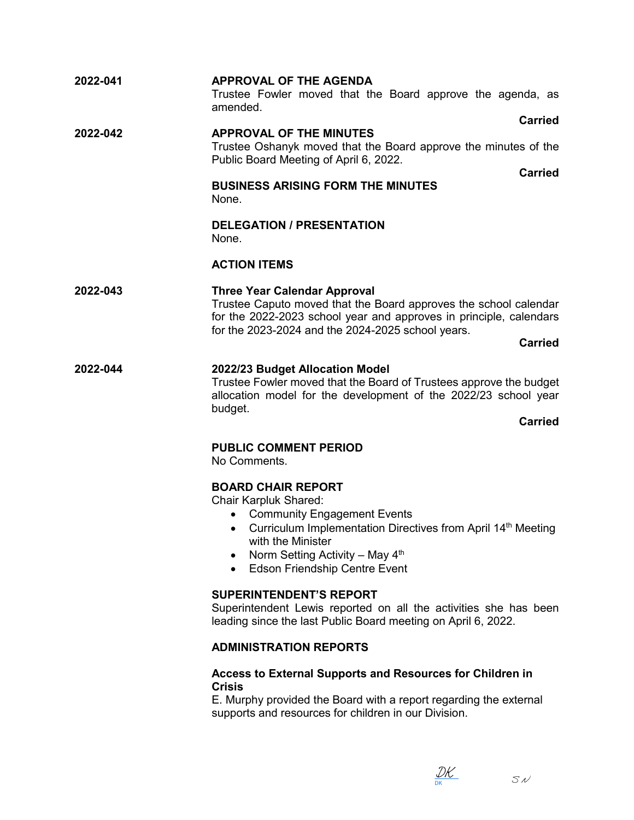| 2022-041 | <b>APPROVAL OF THE AGENDA</b><br>Trustee Fowler moved that the Board approve the agenda, as<br>amended.                                                                                                                                                                               |
|----------|---------------------------------------------------------------------------------------------------------------------------------------------------------------------------------------------------------------------------------------------------------------------------------------|
| 2022-042 | <b>Carried</b><br><b>APPROVAL OF THE MINUTES</b><br>Trustee Oshanyk moved that the Board approve the minutes of the<br>Public Board Meeting of April 6, 2022.<br><b>Carried</b>                                                                                                       |
|          | <b>BUSINESS ARISING FORM THE MINUTES</b><br>None.                                                                                                                                                                                                                                     |
|          | <b>DELEGATION / PRESENTATION</b><br>None.                                                                                                                                                                                                                                             |
|          | <b>ACTION ITEMS</b>                                                                                                                                                                                                                                                                   |
| 2022-043 | <b>Three Year Calendar Approval</b><br>Trustee Caputo moved that the Board approves the school calendar<br>for the 2022-2023 school year and approves in principle, calendars<br>for the 2023-2024 and the 2024-2025 school years.<br><b>Carried</b>                                  |
| 2022-044 | 2022/23 Budget Allocation Model<br>Trustee Fowler moved that the Board of Trustees approve the budget<br>allocation model for the development of the 2022/23 school year<br>budget.<br><b>Carried</b>                                                                                 |
|          | <b>PUBLIC COMMENT PERIOD</b><br>No Comments.                                                                                                                                                                                                                                          |
|          | <b>BOARD CHAIR REPORT</b><br><b>Chair Karpluk Shared:</b><br>• Community Engagement Events<br>Curriculum Implementation Directives from April 14 <sup>th</sup> Meeting<br>$\bullet$<br>with the Minister<br>Norm Setting Activity – May $4th$<br><b>Edson Friendship Centre Event</b> |
|          | <b>SUPERINTENDENT'S REPORT</b><br>Superintendent Lewis reported on all the activities she has been<br>leading since the last Public Board meeting on April 6, 2022.                                                                                                                   |
|          | <b>ADMINISTRATION REPORTS</b>                                                                                                                                                                                                                                                         |

## **Access to External Supports and Resources for Children in Crisis**

E. Murphy provided the Board with a report regarding the external supports and resources for children in our Division.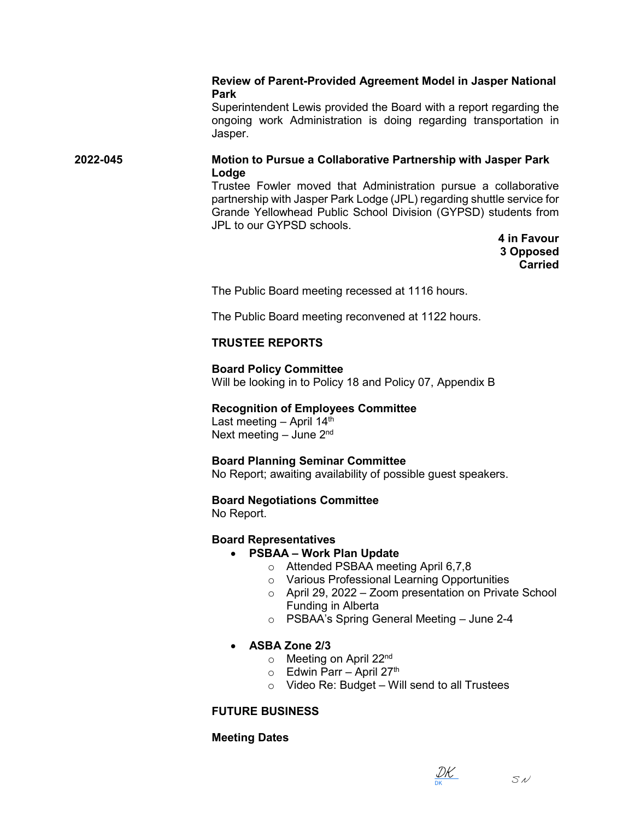## **Review of Parent-Provided Agreement Model in Jasper National Park**

Superintendent Lewis provided the Board with a report regarding the ongoing work Administration is doing regarding transportation in Jasper.

## **2022-045 Motion to Pursue a Collaborative Partnership with Jasper Park Lodge**

Trustee Fowler moved that Administration pursue a collaborative partnership with Jasper Park Lodge (JPL) regarding shuttle service for Grande Yellowhead Public School Division (GYPSD) students from JPL to our GYPSD schools.

> **4 in Favour 3 Opposed Carried**

The Public Board meeting recessed at 1116 hours.

The Public Board meeting reconvened at 1122 hours.

## **TRUSTEE REPORTS**

## **Board Policy Committee**

Will be looking in to Policy 18 and Policy 07, Appendix B

## **Recognition of Employees Committee**

Last meeting – April  $14<sup>th</sup>$ Next meeting  $-$  June  $2<sup>nd</sup>$ 

## **Board Planning Seminar Committee**

No Report; awaiting availability of possible guest speakers.

## **Board Negotiations Committee**

No Report.

# **Board Representatives**

## • **PSBAA – Work Plan Update**

- o Attended PSBAA meeting April 6,7,8
- o Various Professional Learning Opportunities
- $\circ$  April 29, 2022 Zoom presentation on Private School Funding in Alberta
- o PSBAA's Spring General Meeting June 2-4

# • **ASBA Zone 2/3**

- $\circ$  Meeting on April 22<sup>nd</sup>
- $\circ$  Edwin Parr April 27<sup>th</sup>
- $\circ$  Video Re: Budget Will send to all Trustees

# **FUTURE BUSINESS**

# **Meeting Dates**